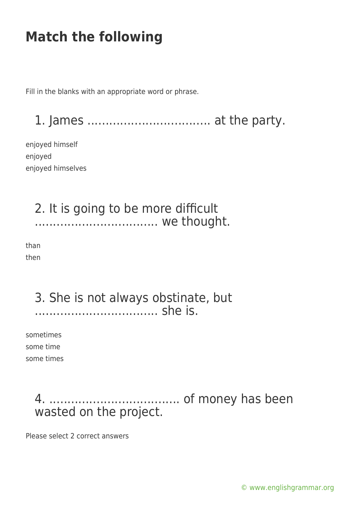Fill in the blanks with an appropriate word or phrase.

1. James .................................. at the party.

enjoyed himself enjoyed enjoyed himselves

#### 2. It is going to be more difficult ................................... we thought.

than then

#### 3. She is not always obstinate, but .................................. she is.

sometimes some time some times

### 4. .................................... of money has been wasted on the project.

Please select 2 correct answers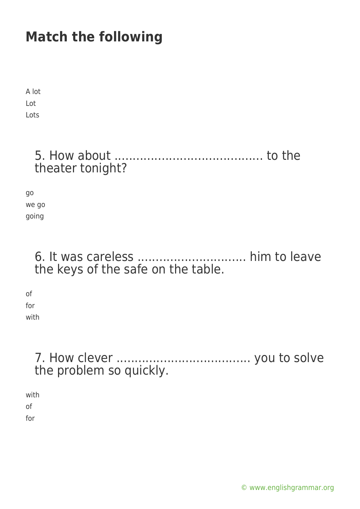A lot Lot Lots

### 5. How about ......................................... to the theater tonight?

go we go going

#### 6. It was careless .............................. him to leave the keys of the safe on the table.

of for with

### 7. How clever ..................................... you to solve the problem so quickly.

with of for

[© www.englishgrammar.org](https://www.englishgrammar.org/)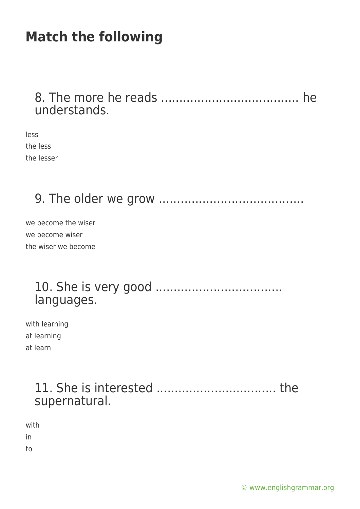#### 8. The more he reads ...................................... he understands.

less the less the lesser

### 9. The older we grow ........................................

we become the wiser we become wiser the wiser we become

#### 10. She is very good ................................... languages.

with learning at learning at learn

### 11. She is interested ................................. the supernatural.

with in to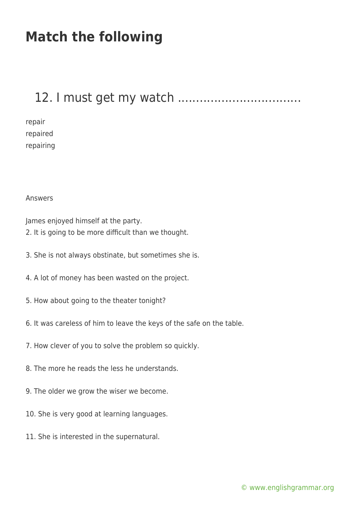### 12. I must get my watch ..................................

repair repaired repairing

Answers

James enjoyed himself at the party.

- 2. It is going to be more difficult than we thought.
- 3. She is not always obstinate, but sometimes she is.
- 4. A lot of money has been wasted on the project.
- 5. How about going to the theater tonight?
- 6. It was careless of him to leave the keys of the safe on the table.
- 7. How clever of you to solve the problem so quickly.
- 8. The more he reads the less he understands.
- 9. The older we grow the wiser we become.
- 10. She is very good at learning languages.
- 11. She is interested in the supernatural.